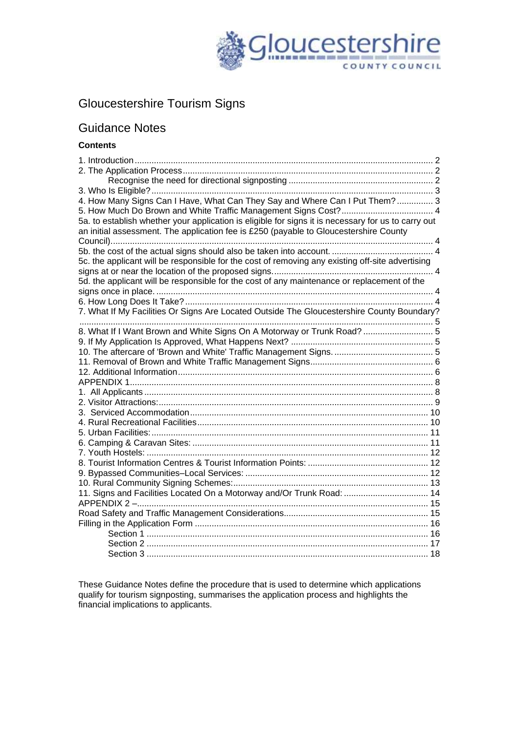

# Gloucestershire Tourism Signs

## Guidance Notes

## **Contents**

| 4. How Many Signs Can I Have, What Can They Say and Where Can I Put Them?  3                        |  |
|-----------------------------------------------------------------------------------------------------|--|
|                                                                                                     |  |
| 5a. to establish whether your application is eligible for signs it is necessary for us to carry out |  |
| an initial assessment. The application fee is £250 (payable to Gloucestershire County               |  |
|                                                                                                     |  |
|                                                                                                     |  |
| 5c. the applicant will be responsible for the cost of removing any existing off-site advertising    |  |
|                                                                                                     |  |
| 5d. the applicant will be responsible for the cost of any maintenance or replacement of the         |  |
|                                                                                                     |  |
| 7. What If My Facilities Or Signs Are Located Outside The Gloucestershire County Boundary?          |  |
|                                                                                                     |  |
| 8. What If I Want Brown and White Signs On A Motorway or Trunk Road?  5                             |  |
|                                                                                                     |  |
|                                                                                                     |  |
|                                                                                                     |  |
|                                                                                                     |  |
|                                                                                                     |  |
|                                                                                                     |  |
|                                                                                                     |  |
|                                                                                                     |  |
|                                                                                                     |  |
|                                                                                                     |  |
|                                                                                                     |  |
|                                                                                                     |  |
|                                                                                                     |  |
|                                                                                                     |  |
|                                                                                                     |  |
| 11. Signs and Facilities Located On a Motorway and/Or Trunk Road:  14                               |  |
|                                                                                                     |  |
|                                                                                                     |  |
|                                                                                                     |  |
|                                                                                                     |  |
|                                                                                                     |  |
|                                                                                                     |  |

These Guidance Notes define the procedure that is used to determine which applications qualify for tourism signposting, summarises the application process and highlights the financial implications to applicants.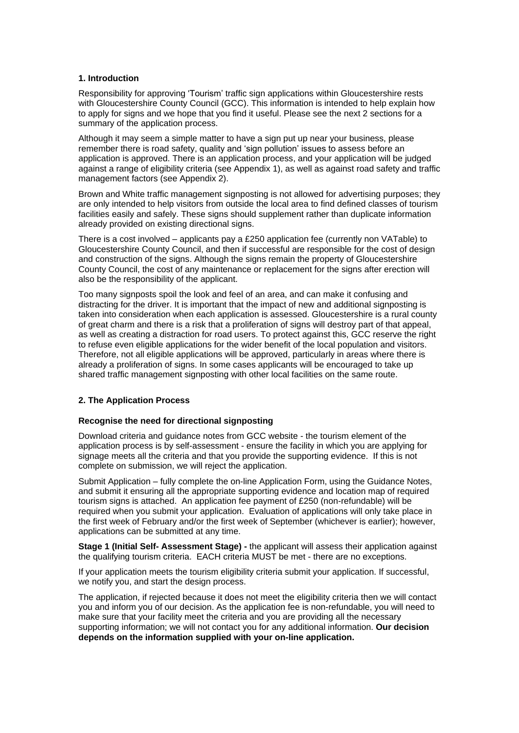### <span id="page-1-0"></span>**1. Introduction**

Responsibility for approving 'Tourism' traffic sign applications within Gloucestershire rests with Gloucestershire County Council (GCC). This information is intended to help explain how to apply for signs and we hope that you find it useful. Please see the next 2 sections for a summary of the application process.

Although it may seem a simple matter to have a sign put up near your business, please remember there is road safety, quality and 'sign pollution' issues to assess before an application is approved. There is an application process, and your application will be judged against a range of eligibility criteria (see Appendix 1), as well as against road safety and traffic management factors (see Appendix 2).

Brown and White traffic management signposting is not allowed for advertising purposes; they are only intended to help visitors from outside the local area to find defined classes of tourism facilities easily and safely. These signs should supplement rather than duplicate information already provided on existing directional signs.

There is a cost involved – applicants pay a £250 application fee (currently non VATable) to Gloucestershire County Council, and then if successful are responsible for the cost of design and construction of the signs. Although the signs remain the property of Gloucestershire County Council, the cost of any maintenance or replacement for the signs after erection will also be the responsibility of the applicant.

Too many signposts spoil the look and feel of an area, and can make it confusing and distracting for the driver. It is important that the impact of new and additional signposting is taken into consideration when each application is assessed. Gloucestershire is a rural county of great charm and there is a risk that a proliferation of signs will destroy part of that appeal, as well as creating a distraction for road users. To protect against this, GCC reserve the right to refuse even eligible applications for the wider benefit of the local population and visitors. Therefore, not all eligible applications will be approved, particularly in areas where there is already a proliferation of signs. In some cases applicants will be encouraged to take up shared traffic management signposting with other local facilities on the same route.

## <span id="page-1-1"></span>**2. The Application Process**

#### <span id="page-1-2"></span>**Recognise the need for directional signposting**

Download criteria and guidance notes from GCC website - the tourism element of the application process is by self-assessment - ensure the facility in which you are applying for signage meets all the criteria and that you provide the supporting evidence. If this is not complete on submission, we will reject the application.

Submit Application – fully complete the on-line Application Form, using the Guidance Notes, and submit it ensuring all the appropriate supporting evidence and location map of required tourism signs is attached. An application fee payment of £250 (non-refundable) will be required when you submit your application. Evaluation of applications will only take place in the first week of February and/or the first week of September (whichever is earlier); however, applications can be submitted at any time.

**Stage 1 (Initial Self- Assessment Stage) -** the applicant will assess their application against the qualifying tourism criteria. EACH criteria MUST be met - there are no exceptions.

If your application meets the tourism eligibility criteria submit your application. If successful, we notify you, and start the design process.

The application, if rejected because it does not meet the eligibility criteria then we will contact you and inform you of our decision. As the application fee is non-refundable, you will need to make sure that your facility meet the criteria and you are providing all the necessary supporting information; we will not contact you for any additional information. **Our decision depends on the information supplied with your on-line application.**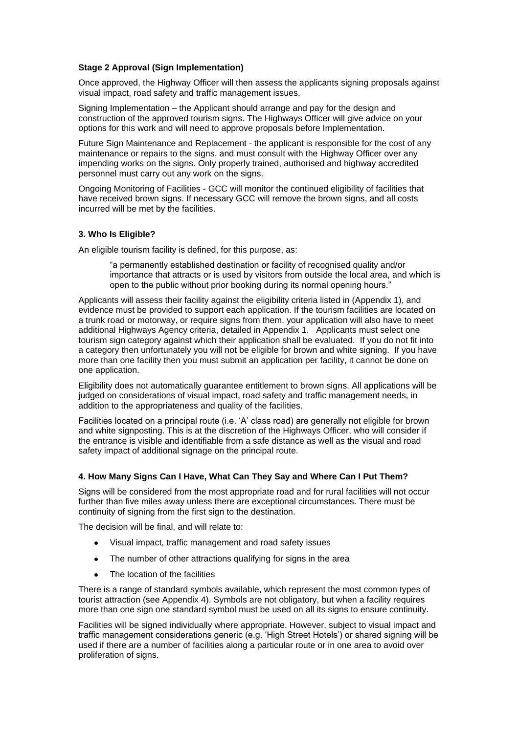### **Stage 2 Approval (Sign Implementation)**

Once approved, the Highway Officer will then assess the applicants signing proposals against visual impact, road safety and traffic management issues.

Signing Implementation – the Applicant should arrange and pay for the design and construction of the approved tourism signs. The Highways Officer will give advice on your options for this work and will need to approve proposals before Implementation.

Future Sign Maintenance and Replacement - the applicant is responsible for the cost of any maintenance or repairs to the signs, and must consult with the Highway Officer over any impending works on the signs. Only properly trained, authorised and highway accredited personnel must carry out any work on the signs.

Ongoing Monitoring of Facilities - GCC will monitor the continued eligibility of facilities that have received brown signs. If necessary GCC will remove the brown signs, and all costs incurred will be met by the facilities.

## <span id="page-2-0"></span>**3. Who Is Eligible?**

An eligible tourism facility is defined, for this purpose, as:

"a permanently established destination or facility of recognised quality and/or importance that attracts or is used by visitors from outside the local area, and which is open to the public without prior booking during its normal opening hours."

Applicants will assess their facility against the eligibility criteria listed in (Appendix 1), and evidence must be provided to support each application. If the tourism facilities are located on a trunk road or motorway, or require signs from them, your application will also have to meet additional Highways Agency criteria, detailed in Appendix 1. Applicants must select one tourism sign category against which their application shall be evaluated. If you do not fit into a category then unfortunately you will not be eligible for brown and white signing. If you have more than one facility then you must submit an application per facility, it cannot be done on one application.

Eligibility does not automatically guarantee entitlement to brown signs. All applications will be judged on considerations of visual impact, road safety and traffic management needs, in addition to the appropriateness and quality of the facilities.

Facilities located on a principal route (i.e. 'A' class road) are generally not eligible for brown and white signposting. This is at the discretion of the Highways Officer, who will consider if the entrance is visible and identifiable from a safe distance as well as the visual and road safety impact of additional signage on the principal route.

#### <span id="page-2-1"></span>**4. How Many Signs Can I Have, What Can They Say and Where Can I Put Them?**

Signs will be considered from the most appropriate road and for rural facilities will not occur further than five miles away unless there are exceptional circumstances. There must be continuity of signing from the first sign to the destination.

The decision will be final, and will relate to:

- Visual impact, traffic management and road safety issues
- The number of other attractions qualifying for signs in the area
- $\bullet$ The location of the facilities

There is a range of standard symbols available, which represent the most common types of tourist attraction (see Appendix 4). Symbols are not obligatory, but when a facility requires more than one sign one standard symbol must be used on all its signs to ensure continuity.

Facilities will be signed individually where appropriate. However, subject to visual impact and traffic management considerations generic (e.g. 'High Street Hotels') or shared signing will be used if there are a number of facilities along a particular route or in one area to avoid over proliferation of signs.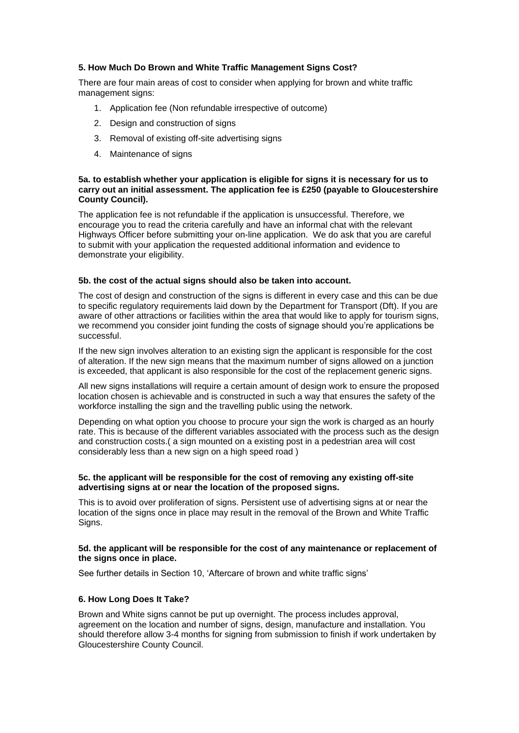## <span id="page-3-0"></span>**5. How Much Do Brown and White Traffic Management Signs Cost?**

There are four main areas of cost to consider when applying for brown and white traffic management signs:

- 1. Application fee (Non refundable irrespective of outcome)
- 2. Design and construction of signs
- 3. Removal of existing off-site advertising signs
- 4. Maintenance of signs

### <span id="page-3-1"></span>**5a. to establish whether your application is eligible for signs it is necessary for us to carry out an initial assessment. The application fee is £250 (payable to Gloucestershire County Council).**

The application fee is not refundable if the application is unsuccessful. Therefore, we encourage you to read the criteria carefully and have an informal chat with the relevant Highways Officer before submitting your on-line application. We do ask that you are careful to submit with your application the requested additional information and evidence to demonstrate your eligibility.

#### <span id="page-3-2"></span>**5b. the cost of the actual signs should also be taken into account.**

The cost of design and construction of the signs is different in every case and this can be due to specific regulatory requirements laid down by the Department for Transport (Dft). If you are aware of other attractions or facilities within the area that would like to apply for tourism signs, we recommend you consider joint funding the costs of signage should you're applications be successful.

If the new sign involves alteration to an existing sign the applicant is responsible for the cost of alteration. If the new sign means that the maximum number of signs allowed on a junction is exceeded, that applicant is also responsible for the cost of the replacement generic signs.

All new signs installations will require a certain amount of design work to ensure the proposed location chosen is achievable and is constructed in such a way that ensures the safety of the workforce installing the sign and the travelling public using the network.

Depending on what option you choose to procure your sign the work is charged as an hourly rate. This is because of the different variables associated with the process such as the design and construction costs.( a sign mounted on a existing post in a pedestrian area will cost considerably less than a new sign on a high speed road )

#### <span id="page-3-3"></span>**5c. the applicant will be responsible for the cost of removing any existing off-site advertising signs at or near the location of the proposed signs.**

This is to avoid over proliferation of signs. Persistent use of advertising signs at or near the location of the signs once in place may result in the removal of the Brown and White Traffic Signs.

### <span id="page-3-4"></span>**5d. the applicant will be responsible for the cost of any maintenance or replacement of the signs once in place.**

See further details in Section 10, 'Aftercare of brown and white traffic signs'

#### <span id="page-3-5"></span>**6. How Long Does It Take?**

Brown and White signs cannot be put up overnight. The process includes approval, agreement on the location and number of signs, design, manufacture and installation. You should therefore allow 3-4 months for signing from submission to finish if work undertaken by Gloucestershire County Council.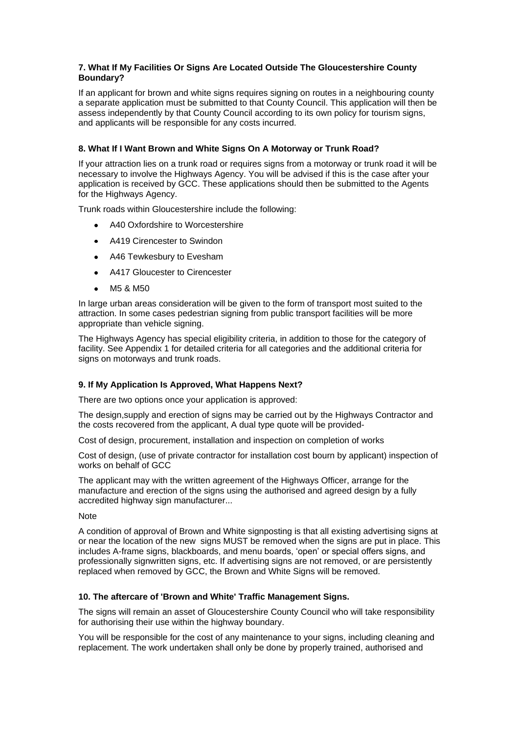## <span id="page-4-0"></span>**7. What If My Facilities Or Signs Are Located Outside The Gloucestershire County Boundary?**

If an applicant for brown and white signs requires signing on routes in a neighbouring county a separate application must be submitted to that County Council. This application will then be assess independently by that County Council according to its own policy for tourism signs, and applicants will be responsible for any costs incurred.

## <span id="page-4-1"></span>**8. What If I Want Brown and White Signs On A Motorway or Trunk Road?**

If your attraction lies on a trunk road or requires signs from a motorway or trunk road it will be necessary to involve the Highways Agency. You will be advised if this is the case after your application is received by GCC. These applications should then be submitted to the Agents for the Highways Agency.

Trunk roads within Gloucestershire include the following:

- A40 Oxfordshire to Worcestershire
- $\bullet$ A419 Cirencester to Swindon
- A46 Tewkesbury to Evesham
- A417 Gloucester to Cirencester  $\bullet$
- M5 & M50

In large urban areas consideration will be given to the form of transport most suited to the attraction. In some cases pedestrian signing from public transport facilities will be more appropriate than vehicle signing.

The Highways Agency has special eligibility criteria, in addition to those for the category of facility. See Appendix 1 for detailed criteria for all categories and the additional criteria for signs on motorways and trunk roads.

## <span id="page-4-2"></span>**9. If My Application Is Approved, What Happens Next?**

There are two options once your application is approved:

The design,supply and erection of signs may be carried out by the Highways Contractor and the costs recovered from the applicant, A dual type quote will be provided-

Cost of design, procurement, installation and inspection on completion of works

Cost of design, (use of private contractor for installation cost bourn by applicant) inspection of works on behalf of GCC

The applicant may with the written agreement of the Highways Officer, arrange for the manufacture and erection of the signs using the authorised and agreed design by a fully accredited highway sign manufacturer...

## Note

A condition of approval of Brown and White signposting is that all existing advertising signs at or near the location of the new signs MUST be removed when the signs are put in place. This includes A-frame signs, blackboards, and menu boards, 'open' or special offers signs, and professionally signwritten signs, etc. If advertising signs are not removed, or are persistently replaced when removed by GCC, the Brown and White Signs will be removed.

## <span id="page-4-3"></span>**10. The aftercare of 'Brown and White' Traffic Management Signs.**

The signs will remain an asset of Gloucestershire County Council who will take responsibility for authorising their use within the highway boundary.

You will be responsible for the cost of any maintenance to your signs, including cleaning and replacement. The work undertaken shall only be done by properly trained, authorised and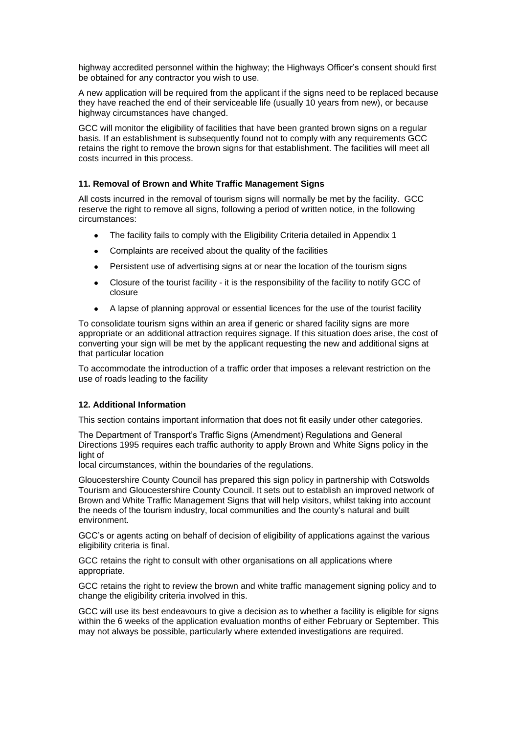highway accredited personnel within the highway; the Highways Officer's consent should first be obtained for any contractor you wish to use.

A new application will be required from the applicant if the signs need to be replaced because they have reached the end of their serviceable life (usually 10 years from new), or because highway circumstances have changed.

GCC will monitor the eligibility of facilities that have been granted brown signs on a regular basis. If an establishment is subsequently found not to comply with any requirements GCC retains the right to remove the brown signs for that establishment. The facilities will meet all costs incurred in this process.

### <span id="page-5-0"></span>**11. Removal of Brown and White Traffic Management Signs**

All costs incurred in the removal of tourism signs will normally be met by the facility. GCC reserve the right to remove all signs, following a period of written notice, in the following circumstances:

- The facility fails to comply with the Eligibility Criteria detailed in Appendix 1
- $\bullet$ Complaints are received about the quality of the facilities
- Persistent use of advertising signs at or near the location of the tourism signs
- Closure of the tourist facility it is the responsibility of the facility to notify GCC of  $\bullet$ closure
- A lapse of planning approval or essential licences for the use of the tourist facility

To consolidate tourism signs within an area if generic or shared facility signs are more appropriate or an additional attraction requires signage. If this situation does arise, the cost of converting your sign will be met by the applicant requesting the new and additional signs at that particular location

To accommodate the introduction of a traffic order that imposes a relevant restriction on the use of roads leading to the facility

#### <span id="page-5-1"></span>**12. Additional Information**

This section contains important information that does not fit easily under other categories.

The Department of Transport's Traffic Signs (Amendment) Regulations and General Directions 1995 requires each traffic authority to apply Brown and White Signs policy in the light of

local circumstances, within the boundaries of the regulations.

Gloucestershire County Council has prepared this sign policy in partnership with Cotswolds Tourism and Gloucestershire County Council. It sets out to establish an improved network of Brown and White Traffic Management Signs that will help visitors, whilst taking into account the needs of the tourism industry, local communities and the county's natural and built environment.

GCC's or agents acting on behalf of decision of eligibility of applications against the various eligibility criteria is final.

GCC retains the right to consult with other organisations on all applications where appropriate.

GCC retains the right to review the brown and white traffic management signing policy and to change the eligibility criteria involved in this.

GCC will use its best endeavours to give a decision as to whether a facility is eligible for signs within the 6 weeks of the application evaluation months of either February or September. This may not always be possible, particularly where extended investigations are required.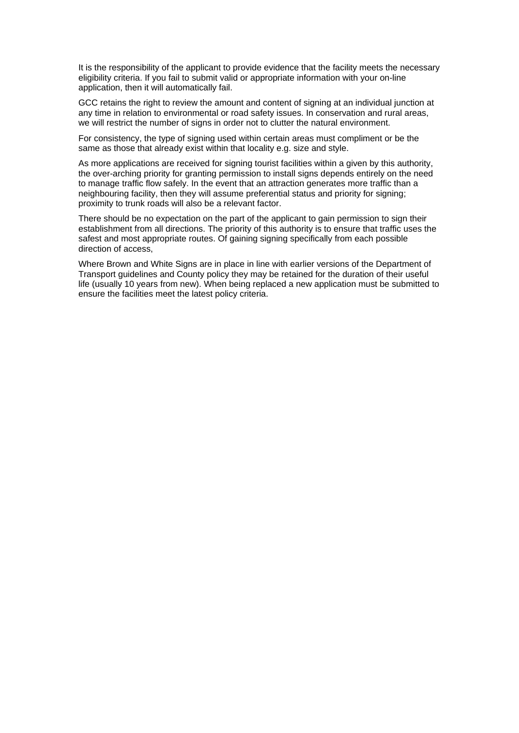It is the responsibility of the applicant to provide evidence that the facility meets the necessary eligibility criteria. If you fail to submit valid or appropriate information with your on-line application, then it will automatically fail.

GCC retains the right to review the amount and content of signing at an individual junction at any time in relation to environmental or road safety issues. In conservation and rural areas, we will restrict the number of signs in order not to clutter the natural environment.

For consistency, the type of signing used within certain areas must compliment or be the same as those that already exist within that locality e.g. size and style.

As more applications are received for signing tourist facilities within a given by this authority, the over-arching priority for granting permission to install signs depends entirely on the need to manage traffic flow safely. In the event that an attraction generates more traffic than a neighbouring facility, then they will assume preferential status and priority for signing; proximity to trunk roads will also be a relevant factor.

There should be no expectation on the part of the applicant to gain permission to sign their establishment from all directions. The priority of this authority is to ensure that traffic uses the safest and most appropriate routes. Of gaining signing specifically from each possible direction of access,

Where Brown and White Signs are in place in line with earlier versions of the Department of Transport guidelines and County policy they may be retained for the duration of their useful life (usually 10 years from new). When being replaced a new application must be submitted to ensure the facilities meet the latest policy criteria.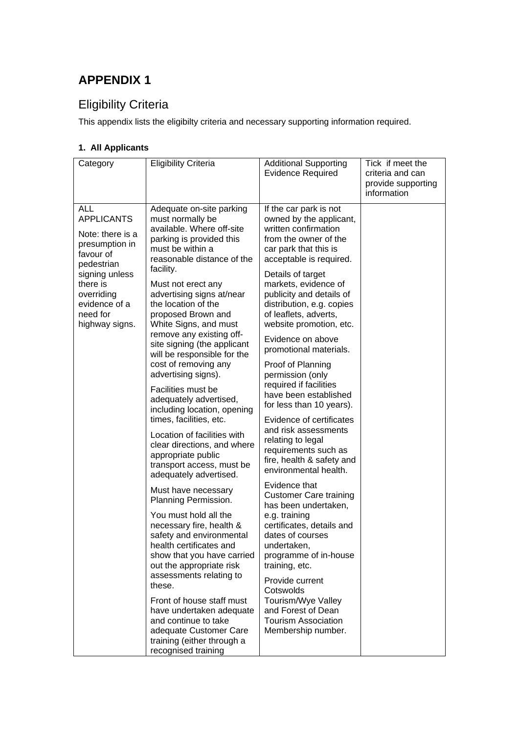# <span id="page-7-0"></span>Eligibility Criteria

This appendix lists the eligibilty criteria and necessary supporting information required.

## <span id="page-7-1"></span>**1. All Applicants**

| Category                                                                                                                                                                             | <b>Eligibility Criteria</b>                                                                                                                                                                                                                                                                                                                                                                                                                                                                                                                                                                                                                                                                                                                                                                                                                                                                                                                                                                                                                                      | <b>Additional Supporting</b><br><b>Evidence Required</b>                                                                                                                                                                                                                                                                                                                                                                                                                                                                                                                                                                                                                                                                                                                                                                                                                                                                                                                             | Tick if meet the<br>criteria and can<br>provide supporting<br>information |
|--------------------------------------------------------------------------------------------------------------------------------------------------------------------------------------|------------------------------------------------------------------------------------------------------------------------------------------------------------------------------------------------------------------------------------------------------------------------------------------------------------------------------------------------------------------------------------------------------------------------------------------------------------------------------------------------------------------------------------------------------------------------------------------------------------------------------------------------------------------------------------------------------------------------------------------------------------------------------------------------------------------------------------------------------------------------------------------------------------------------------------------------------------------------------------------------------------------------------------------------------------------|--------------------------------------------------------------------------------------------------------------------------------------------------------------------------------------------------------------------------------------------------------------------------------------------------------------------------------------------------------------------------------------------------------------------------------------------------------------------------------------------------------------------------------------------------------------------------------------------------------------------------------------------------------------------------------------------------------------------------------------------------------------------------------------------------------------------------------------------------------------------------------------------------------------------------------------------------------------------------------------|---------------------------------------------------------------------------|
| ALL<br><b>APPLICANTS</b><br>Note: there is a<br>presumption in<br>favour of<br>pedestrian<br>signing unless<br>there is<br>overriding<br>evidence of a<br>need for<br>highway signs. | Adequate on-site parking<br>must normally be<br>available. Where off-site<br>parking is provided this<br>must be within a<br>reasonable distance of the<br>facility.<br>Must not erect any<br>advertising signs at/near<br>the location of the<br>proposed Brown and<br>White Signs, and must<br>remove any existing off-<br>site signing (the applicant<br>will be responsible for the<br>cost of removing any<br>advertising signs).<br>Facilities must be<br>adequately advertised,<br>including location, opening<br>times, facilities, etc.<br>Location of facilities with<br>clear directions, and where<br>appropriate public<br>transport access, must be<br>adequately advertised.<br>Must have necessary<br>Planning Permission.<br>You must hold all the<br>necessary fire, health &<br>safety and environmental<br>health certificates and<br>show that you have carried<br>out the appropriate risk<br>assessments relating to<br>these.<br>Front of house staff must<br>have undertaken adequate<br>and continue to take<br>adequate Customer Care | If the car park is not<br>owned by the applicant,<br>written confirmation<br>from the owner of the<br>car park that this is<br>acceptable is required.<br>Details of target<br>markets, evidence of<br>publicity and details of<br>distribution, e.g. copies<br>of leaflets, adverts,<br>website promotion, etc.<br>Evidence on above<br>promotional materials.<br>Proof of Planning<br>permission (only<br>required if facilities<br>have been established<br>for less than 10 years).<br>Evidence of certificates<br>and risk assessments<br>relating to legal<br>requirements such as<br>fire, health & safety and<br>environmental health.<br>Evidence that<br><b>Customer Care training</b><br>has been undertaken,<br>e.g. training<br>certificates, details and<br>dates of courses<br>undertaken.<br>programme of in-house<br>training, etc.<br>Provide current<br>Cotswolds<br>Tourism/Wye Valley<br>and Forest of Dean<br><b>Tourism Association</b><br>Membership number. |                                                                           |
|                                                                                                                                                                                      | training (either through a<br>recognised training                                                                                                                                                                                                                                                                                                                                                                                                                                                                                                                                                                                                                                                                                                                                                                                                                                                                                                                                                                                                                |                                                                                                                                                                                                                                                                                                                                                                                                                                                                                                                                                                                                                                                                                                                                                                                                                                                                                                                                                                                      |                                                                           |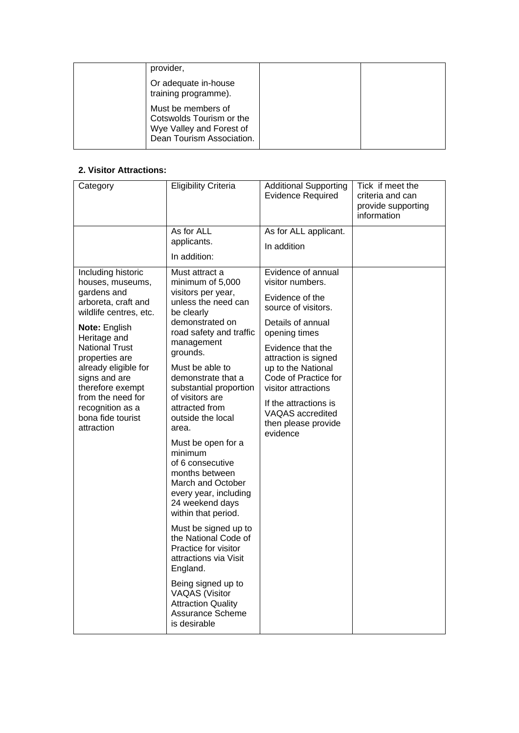| provider,                                                                                               |  |
|---------------------------------------------------------------------------------------------------------|--|
| Or adequate in-house<br>training programme).                                                            |  |
| Must be members of<br>Cotswolds Tourism or the<br>Wye Valley and Forest of<br>Dean Tourism Association. |  |

## <span id="page-8-0"></span>**2. Visitor Attractions:**

| Category                                                                                                                                                                                                                                                                                                                    | <b>Eligibility Criteria</b>                                                                                                                                                                                                                                                                                                                                                                                                                                                                                                                                                                                                                                                                                    | <b>Additional Supporting</b><br><b>Evidence Required</b>                                                                                                                                                                                                                                                                 | Tick if meet the<br>criteria and can<br>provide supporting<br>information |
|-----------------------------------------------------------------------------------------------------------------------------------------------------------------------------------------------------------------------------------------------------------------------------------------------------------------------------|----------------------------------------------------------------------------------------------------------------------------------------------------------------------------------------------------------------------------------------------------------------------------------------------------------------------------------------------------------------------------------------------------------------------------------------------------------------------------------------------------------------------------------------------------------------------------------------------------------------------------------------------------------------------------------------------------------------|--------------------------------------------------------------------------------------------------------------------------------------------------------------------------------------------------------------------------------------------------------------------------------------------------------------------------|---------------------------------------------------------------------------|
|                                                                                                                                                                                                                                                                                                                             | As for ALL<br>applicants.<br>In addition:                                                                                                                                                                                                                                                                                                                                                                                                                                                                                                                                                                                                                                                                      | As for ALL applicant.<br>In addition                                                                                                                                                                                                                                                                                     |                                                                           |
| Including historic<br>houses, museums,<br>gardens and<br>arboreta, craft and<br>wildlife centres, etc.<br>Note: English<br>Heritage and<br><b>National Trust</b><br>properties are<br>already eligible for<br>signs and are<br>therefore exempt<br>from the need for<br>recognition as a<br>bona fide tourist<br>attraction | Must attract a<br>minimum of 5,000<br>visitors per year,<br>unless the need can<br>be clearly<br>demonstrated on<br>road safety and traffic<br>management<br>grounds.<br>Must be able to<br>demonstrate that a<br>substantial proportion<br>of visitors are<br>attracted from<br>outside the local<br>area.<br>Must be open for a<br>minimum<br>of 6 consecutive<br>months between<br>March and October<br>every year, including<br>24 weekend days<br>within that period.<br>Must be signed up to<br>the National Code of<br>Practice for visitor<br>attractions via Visit<br>England.<br>Being signed up to<br><b>VAQAS</b> (Visitor<br><b>Attraction Quality</b><br><b>Assurance Scheme</b><br>is desirable | Evidence of annual<br>visitor numbers.<br>Evidence of the<br>source of visitors.<br>Details of annual<br>opening times<br>Evidence that the<br>attraction is signed<br>up to the National<br>Code of Practice for<br>visitor attractions<br>If the attractions is<br>VAQAS accredited<br>then please provide<br>evidence |                                                                           |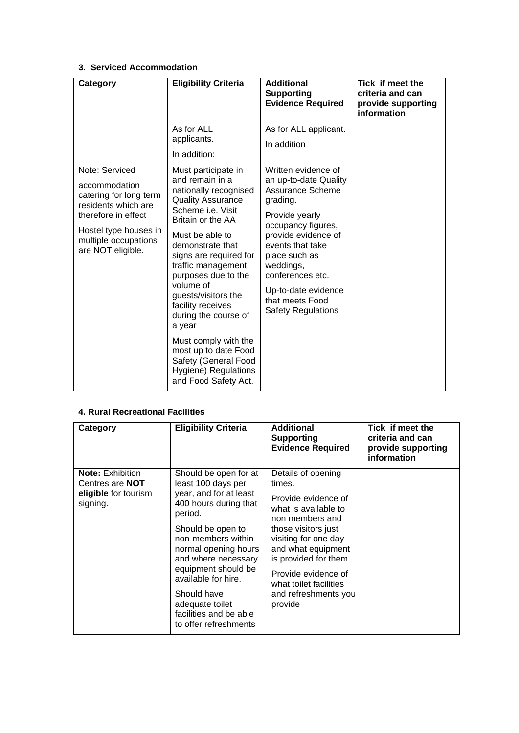## <span id="page-9-0"></span>**3. Serviced Accommodation**

| Category                                                                                                                                                                      | <b>Eligibility Criteria</b>                                                                                                                                                                                                                                                                                                                                                                                                                                                   | <b>Additional</b><br><b>Supporting</b><br><b>Evidence Required</b>                                                                                                                                                                                                                              | Tick if meet the<br>criteria and can<br>provide supporting<br>information |
|-------------------------------------------------------------------------------------------------------------------------------------------------------------------------------|-------------------------------------------------------------------------------------------------------------------------------------------------------------------------------------------------------------------------------------------------------------------------------------------------------------------------------------------------------------------------------------------------------------------------------------------------------------------------------|-------------------------------------------------------------------------------------------------------------------------------------------------------------------------------------------------------------------------------------------------------------------------------------------------|---------------------------------------------------------------------------|
|                                                                                                                                                                               | As for ALL<br>applicants.<br>In addition:                                                                                                                                                                                                                                                                                                                                                                                                                                     | As for ALL applicant.<br>In addition                                                                                                                                                                                                                                                            |                                                                           |
| Note: Serviced<br>accommodation<br>catering for long term<br>residents which are<br>therefore in effect<br>Hostel type houses in<br>multiple occupations<br>are NOT eligible. | Must participate in<br>and remain in a<br>nationally recognised<br><b>Quality Assurance</b><br>Scheme <i>i.e.</i> Visit<br>Britain or the AA<br>Must be able to<br>demonstrate that<br>signs are required for<br>traffic management<br>purposes due to the<br>volume of<br>guests/visitors the<br>facility receives<br>during the course of<br>a year<br>Must comply with the<br>most up to date Food<br>Safety (General Food<br>Hygiene) Regulations<br>and Food Safety Act. | Written evidence of<br>an up-to-date Quality<br><b>Assurance Scheme</b><br>grading.<br>Provide yearly<br>occupancy figures,<br>provide evidence of<br>events that take<br>place such as<br>weddings,<br>conferences etc.<br>Up-to-date evidence<br>that meets Food<br><b>Safety Regulations</b> |                                                                           |

## <span id="page-9-1"></span>**4. Rural Recreational Facilities**

| Category                                                                              | <b>Eligibility Criteria</b>                                                                                                                                                                                                                                                                                                            | <b>Additional</b><br><b>Supporting</b><br><b>Evidence Required</b>                                                                                                                                                                                                               | Tick if meet the<br>criteria and can<br>provide supporting<br>information |
|---------------------------------------------------------------------------------------|----------------------------------------------------------------------------------------------------------------------------------------------------------------------------------------------------------------------------------------------------------------------------------------------------------------------------------------|----------------------------------------------------------------------------------------------------------------------------------------------------------------------------------------------------------------------------------------------------------------------------------|---------------------------------------------------------------------------|
| <b>Note: Exhibition</b><br>Centres are <b>NOT</b><br>eligible for tourism<br>signing. | Should be open for at<br>least 100 days per<br>year, and for at least<br>400 hours during that<br>period.<br>Should be open to<br>non-members within<br>normal opening hours<br>and where necessary<br>equipment should be<br>available for hire.<br>Should have<br>adequate toilet<br>facilities and be able<br>to offer refreshments | Details of opening<br>times.<br>Provide evidence of<br>what is available to<br>non members and<br>those visitors just<br>visiting for one day<br>and what equipment<br>is provided for them.<br>Provide evidence of<br>what toilet facilities<br>and refreshments you<br>provide |                                                                           |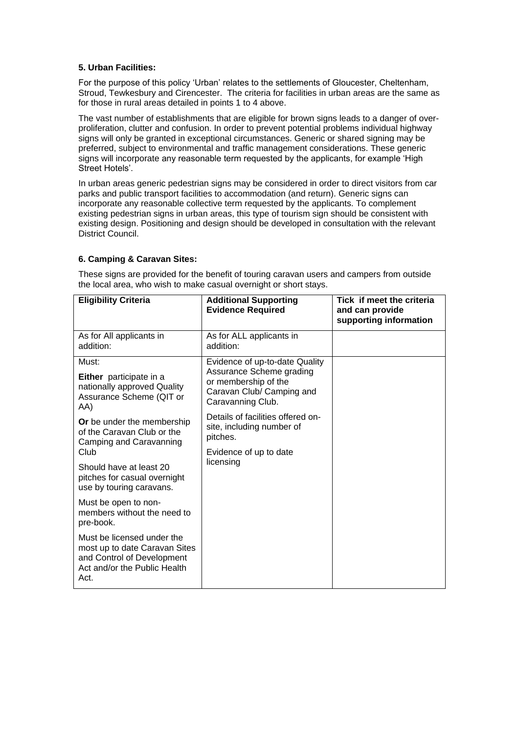### <span id="page-10-0"></span>**5. Urban Facilities:**

For the purpose of this policy 'Urban' relates to the settlements of Gloucester, Cheltenham, Stroud, Tewkesbury and Cirencester. The criteria for facilities in urban areas are the same as for those in rural areas detailed in points 1 to 4 above.

The vast number of establishments that are eligible for brown signs leads to a danger of overproliferation, clutter and confusion. In order to prevent potential problems individual highway signs will only be granted in exceptional circumstances. Generic or shared signing may be preferred, subject to environmental and traffic management considerations. These generic signs will incorporate any reasonable term requested by the applicants, for example 'High Street Hotels'.

In urban areas generic pedestrian signs may be considered in order to direct visitors from car parks and public transport facilities to accommodation (and return). Generic signs can incorporate any reasonable collective term requested by the applicants. To complement existing pedestrian signs in urban areas, this type of tourism sign should be consistent with existing design. Positioning and design should be developed in consultation with the relevant District Council.

## <span id="page-10-1"></span>**6. Camping & Caravan Sites:**

| <b>Eligibility Criteria</b>                                                                                                       | <b>Additional Supporting</b><br><b>Evidence Required</b>                                           | Tick if meet the criteria<br>and can provide<br>supporting information |
|-----------------------------------------------------------------------------------------------------------------------------------|----------------------------------------------------------------------------------------------------|------------------------------------------------------------------------|
| As for All applicants in<br>addition:                                                                                             | As for ALL applicants in<br>addition:                                                              |                                                                        |
| Must:                                                                                                                             | Evidence of up-to-date Quality                                                                     |                                                                        |
| <b>Either</b> participate in a<br>nationally approved Quality<br>Assurance Scheme (QIT or<br>AA)                                  | Assurance Scheme grading<br>or membership of the<br>Caravan Club/ Camping and<br>Caravanning Club. |                                                                        |
| <b>Or</b> be under the membership<br>of the Caravan Club or the<br>Camping and Caravanning                                        | Details of facilities offered on-<br>site, including number of<br>pitches.                         |                                                                        |
| Club                                                                                                                              | Evidence of up to date                                                                             |                                                                        |
| Should have at least 20<br>pitches for casual overnight<br>use by touring caravans.                                               | licensing                                                                                          |                                                                        |
| Must be open to non-<br>members without the need to<br>pre-book.                                                                  |                                                                                                    |                                                                        |
| Must be licensed under the<br>most up to date Caravan Sites<br>and Control of Development<br>Act and/or the Public Health<br>Act. |                                                                                                    |                                                                        |

These signs are provided for the benefit of touring caravan users and campers from outside the local area, who wish to make casual overnight or short stays.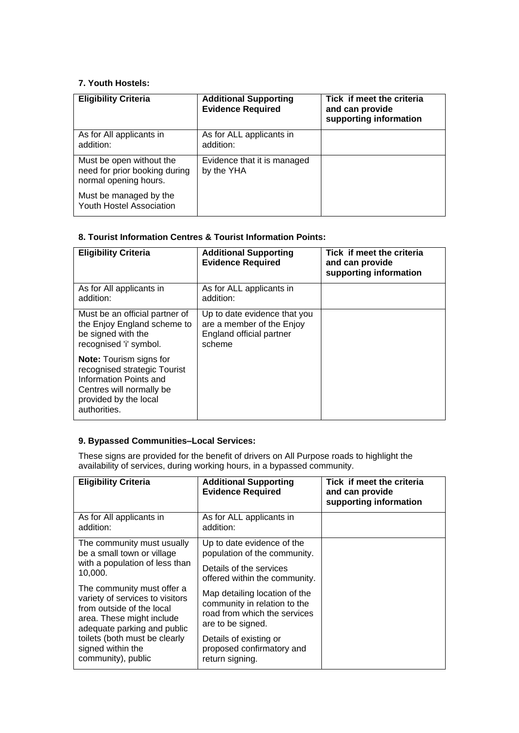## <span id="page-11-0"></span>**7. Youth Hostels:**

| <b>Eligibility Criteria</b>                                                        | <b>Additional Supporting</b><br><b>Evidence Required</b> | Tick if meet the criteria<br>and can provide<br>supporting information |
|------------------------------------------------------------------------------------|----------------------------------------------------------|------------------------------------------------------------------------|
| As for All applicants in<br>addition:                                              | As for ALL applicants in<br>addition:                    |                                                                        |
| Must be open without the<br>need for prior booking during<br>normal opening hours. | Evidence that it is managed<br>by the YHA                |                                                                        |
| Must be managed by the<br><b>Youth Hostel Association</b>                          |                                                          |                                                                        |

## <span id="page-11-1"></span>**8. Tourist Information Centres & Tourist Information Points:**

| <b>Eligibility Criteria</b>                                                                                                                                   | <b>Additional Supporting</b><br><b>Evidence Required</b>                                        | Tick if meet the criteria<br>and can provide<br>supporting information |
|---------------------------------------------------------------------------------------------------------------------------------------------------------------|-------------------------------------------------------------------------------------------------|------------------------------------------------------------------------|
| As for All applicants in<br>addition:                                                                                                                         | As for ALL applicants in<br>addition:                                                           |                                                                        |
| Must be an official partner of<br>the Enjoy England scheme to<br>be signed with the<br>recognised 'i' symbol.                                                 | Up to date evidence that you<br>are a member of the Enjoy<br>England official partner<br>scheme |                                                                        |
| <b>Note:</b> Tourism signs for<br>recognised strategic Tourist<br>Information Points and<br>Centres will normally be<br>provided by the local<br>authorities. |                                                                                                 |                                                                        |

## <span id="page-11-2"></span>**9. Bypassed Communities–Local Services:**

These signs are provided for the benefit of drivers on All Purpose roads to highlight the availability of services, during working hours, in a bypassed community.

| <b>Eligibility Criteria</b>                                                                                                                            | <b>Additional Supporting</b><br><b>Evidence Required</b>                                                           | Tick if meet the criteria<br>and can provide<br>supporting information |
|--------------------------------------------------------------------------------------------------------------------------------------------------------|--------------------------------------------------------------------------------------------------------------------|------------------------------------------------------------------------|
| As for All applicants in<br>addition:                                                                                                                  | As for ALL applicants in<br>addition:                                                                              |                                                                        |
| The community must usually<br>be a small town or village                                                                                               | Up to date evidence of the<br>population of the community.                                                         |                                                                        |
| with a population of less than<br>10,000.                                                                                                              | Details of the services<br>offered within the community.                                                           |                                                                        |
| The community must offer a<br>variety of services to visitors<br>from outside of the local<br>area. These might include<br>adequate parking and public | Map detailing location of the<br>community in relation to the<br>road from which the services<br>are to be signed. |                                                                        |
| toilets (both must be clearly<br>signed within the<br>community), public                                                                               | Details of existing or<br>proposed confirmatory and<br>return signing.                                             |                                                                        |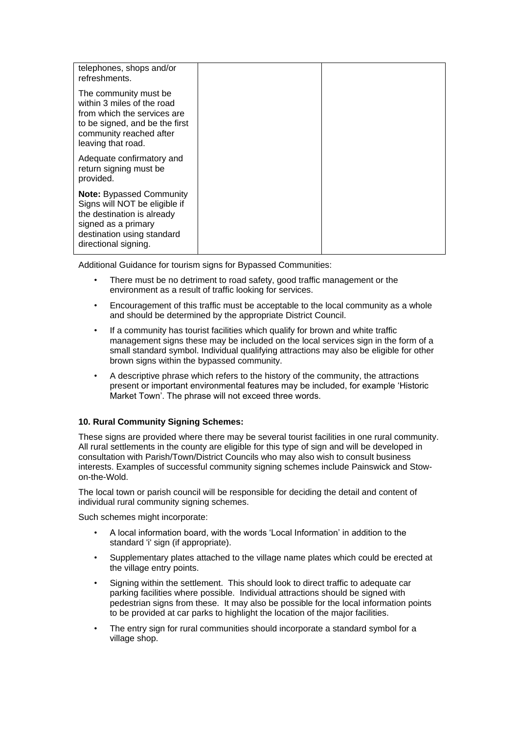| telephones, shops and/or<br>refreshments.                                                                                                                                   |  |
|-----------------------------------------------------------------------------------------------------------------------------------------------------------------------------|--|
| The community must be<br>within 3 miles of the road<br>from which the services are<br>to be signed, and be the first<br>community reached after<br>leaving that road.       |  |
| Adequate confirmatory and<br>return signing must be<br>provided.                                                                                                            |  |
| <b>Note: Bypassed Community</b><br>Signs will NOT be eligible if<br>the destination is already<br>signed as a primary<br>destination using standard<br>directional signing. |  |

Additional Guidance for tourism signs for Bypassed Communities:

- There must be no detriment to road safety, good traffic management or the environment as a result of traffic looking for services.
- Encouragement of this traffic must be acceptable to the local community as a whole and should be determined by the appropriate District Council.
- If a community has tourist facilities which qualify for brown and white traffic management signs these may be included on the local services sign in the form of a small standard symbol. Individual qualifying attractions may also be eligible for other brown signs within the bypassed community.
- A descriptive phrase which refers to the history of the community, the attractions present or important environmental features may be included, for example 'Historic Market Town'. The phrase will not exceed three words.

## <span id="page-12-0"></span>**10. Rural Community Signing Schemes:**

These signs are provided where there may be several tourist facilities in one rural community. All rural settlements in the county are eligible for this type of sign and will be developed in consultation with Parish/Town/District Councils who may also wish to consult business interests. Examples of successful community signing schemes include Painswick and Stowon-the-Wold.

The local town or parish council will be responsible for deciding the detail and content of individual rural community signing schemes.

Such schemes might incorporate:

- A local information board, with the words 'Local Information' in addition to the standard 'i' sign (if appropriate).
- Supplementary plates attached to the village name plates which could be erected at the village entry points.
- Signing within the settlement. This should look to direct traffic to adequate car parking facilities where possible. Individual attractions should be signed with pedestrian signs from these. It may also be possible for the local information points to be provided at car parks to highlight the location of the major facilities.
- The entry sign for rural communities should incorporate a standard symbol for a village shop.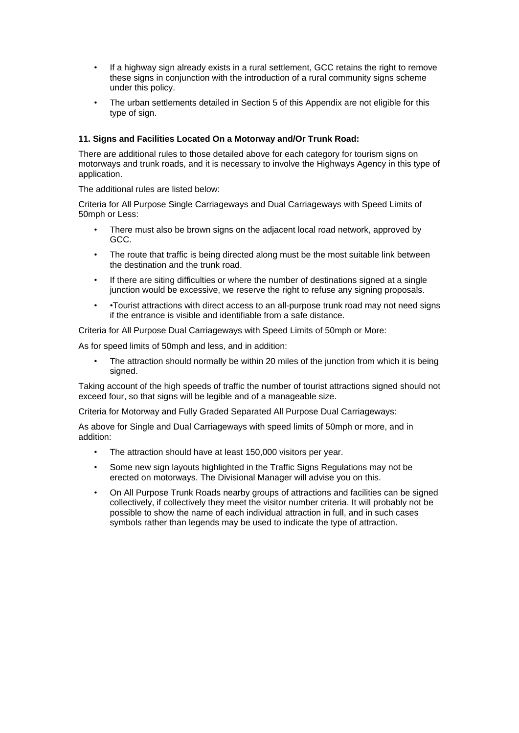- If a highway sign already exists in a rural settlement, GCC retains the right to remove these signs in conjunction with the introduction of a rural community signs scheme under this policy.
- The urban settlements detailed in Section 5 of this Appendix are not eligible for this type of sign.

## <span id="page-13-0"></span>**11. Signs and Facilities Located On a Motorway and/Or Trunk Road:**

There are additional rules to those detailed above for each category for tourism signs on motorways and trunk roads, and it is necessary to involve the Highways Agency in this type of application.

The additional rules are listed below:

Criteria for All Purpose Single Carriageways and Dual Carriageways with Speed Limits of 50mph or Less:

- There must also be brown signs on the adjacent local road network, approved by GCC.
- The route that traffic is being directed along must be the most suitable link between the destination and the trunk road.
- If there are siting difficulties or where the number of destinations signed at a single junction would be excessive, we reserve the right to refuse any signing proposals.
- •Tourist attractions with direct access to an all-purpose trunk road may not need signs if the entrance is visible and identifiable from a safe distance.

Criteria for All Purpose Dual Carriageways with Speed Limits of 50mph or More:

As for speed limits of 50mph and less, and in addition:

The attraction should normally be within 20 miles of the junction from which it is being signed.

Taking account of the high speeds of traffic the number of tourist attractions signed should not exceed four, so that signs will be legible and of a manageable size.

Criteria for Motorway and Fully Graded Separated All Purpose Dual Carriageways:

As above for Single and Dual Carriageways with speed limits of 50mph or more, and in addition:

- The attraction should have at least 150,000 visitors per year.
- Some new sign layouts highlighted in the Traffic Signs Regulations may not be erected on motorways. The Divisional Manager will advise you on this.
- On All Purpose Trunk Roads nearby groups of attractions and facilities can be signed collectively, if collectively they meet the visitor number criteria. It will probably not be possible to show the name of each individual attraction in full, and in such cases symbols rather than legends may be used to indicate the type of attraction.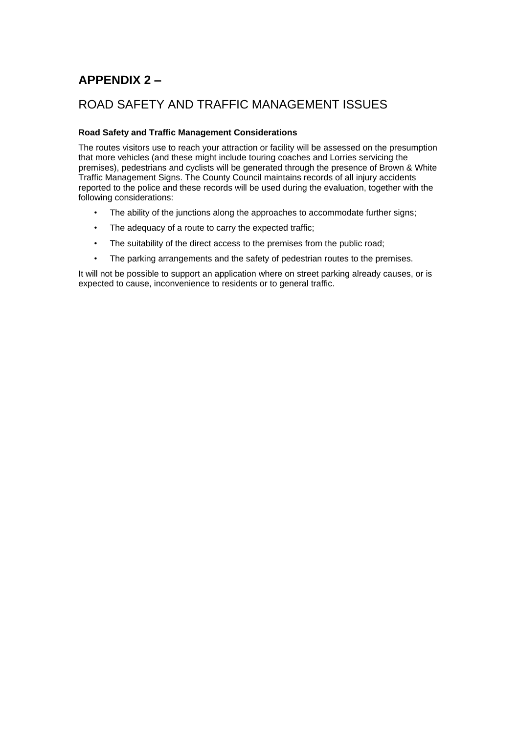# <span id="page-14-0"></span>**APPENDIX 2 –**

## ROAD SAFETY AND TRAFFIC MANAGEMENT ISSUES

## <span id="page-14-1"></span>**Road Safety and Traffic Management Considerations**

The routes visitors use to reach your attraction or facility will be assessed on the presumption that more vehicles (and these might include touring coaches and Lorries servicing the premises), pedestrians and cyclists will be generated through the presence of Brown & White Traffic Management Signs. The County Council maintains records of all injury accidents reported to the police and these records will be used during the evaluation, together with the following considerations:

- The ability of the junctions along the approaches to accommodate further signs;
- The adequacy of a route to carry the expected traffic;
- The suitability of the direct access to the premises from the public road;
- The parking arrangements and the safety of pedestrian routes to the premises.

It will not be possible to support an application where on street parking already causes, or is expected to cause, inconvenience to residents or to general traffic.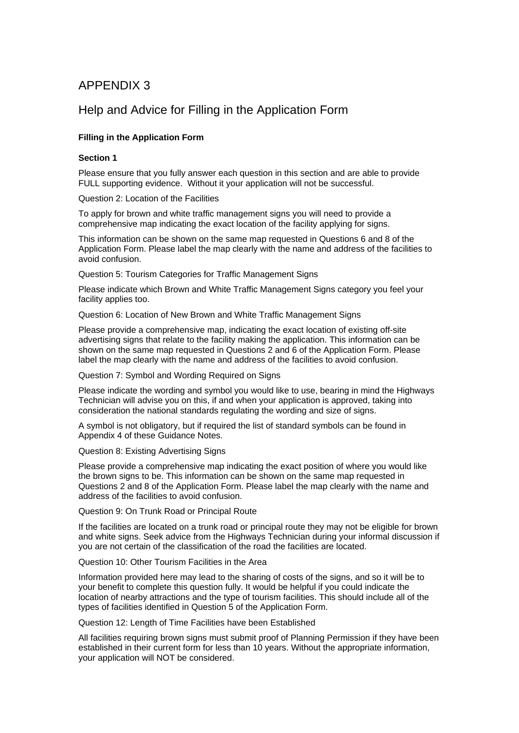## Help and Advice for Filling in the Application Form

## <span id="page-15-0"></span>**Filling in the Application Form**

### <span id="page-15-1"></span>**Section 1**

Please ensure that you fully answer each question in this section and are able to provide FULL supporting evidence. Without it your application will not be successful.

Question 2: Location of the Facilities

To apply for brown and white traffic management signs you will need to provide a comprehensive map indicating the exact location of the facility applying for signs.

This information can be shown on the same map requested in Questions 6 and 8 of the Application Form. Please label the map clearly with the name and address of the facilities to avoid confusion.

Question 5: Tourism Categories for Traffic Management Signs

Please indicate which Brown and White Traffic Management Signs category you feel your facility applies too.

Question 6: Location of New Brown and White Traffic Management Signs

Please provide a comprehensive map, indicating the exact location of existing off-site advertising signs that relate to the facility making the application. This information can be shown on the same map requested in Questions 2 and 6 of the Application Form. Please label the map clearly with the name and address of the facilities to avoid confusion.

Question 7: Symbol and Wording Required on Signs

Please indicate the wording and symbol you would like to use, bearing in mind the Highways Technician will advise you on this, if and when your application is approved, taking into consideration the national standards regulating the wording and size of signs.

A symbol is not obligatory, but if required the list of standard symbols can be found in Appendix 4 of these Guidance Notes.

Question 8: Existing Advertising Signs

Please provide a comprehensive map indicating the exact position of where you would like the brown signs to be. This information can be shown on the same map requested in Questions 2 and 8 of the Application Form. Please label the map clearly with the name and address of the facilities to avoid confusion.

Question 9: On Trunk Road or Principal Route

If the facilities are located on a trunk road or principal route they may not be eligible for brown and white signs. Seek advice from the Highways Technician during your informal discussion if you are not certain of the classification of the road the facilities are located.

Question 10: Other Tourism Facilities in the Area

Information provided here may lead to the sharing of costs of the signs, and so it will be to your benefit to complete this question fully. It would be helpful if you could indicate the location of nearby attractions and the type of tourism facilities. This should include all of the types of facilities identified in Question 5 of the Application Form.

Question 12: Length of Time Facilities have been Established

All facilities requiring brown signs must submit proof of Planning Permission if they have been established in their current form for less than 10 years. Without the appropriate information, your application will NOT be considered.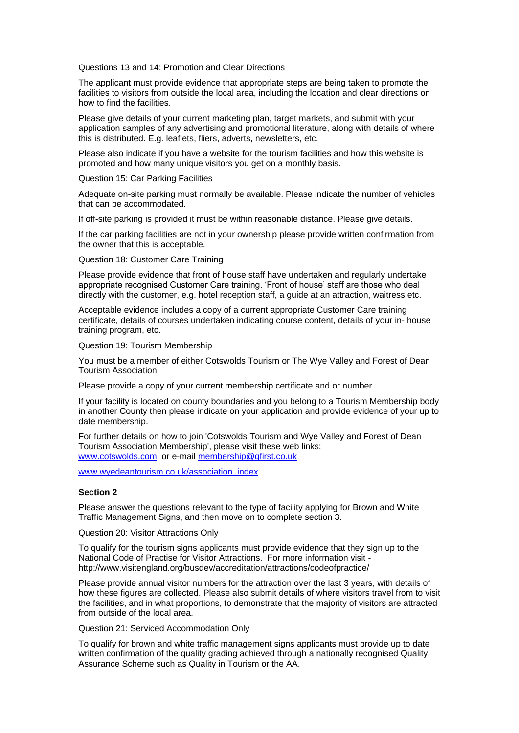Questions 13 and 14: Promotion and Clear Directions

The applicant must provide evidence that appropriate steps are being taken to promote the facilities to visitors from outside the local area, including the location and clear directions on how to find the facilities.

Please give details of your current marketing plan, target markets, and submit with your application samples of any advertising and promotional literature, along with details of where this is distributed. E.g. leaflets, fliers, adverts, newsletters, etc.

Please also indicate if you have a website for the tourism facilities and how this website is promoted and how many unique visitors you get on a monthly basis.

Question 15: Car Parking Facilities

Adequate on-site parking must normally be available. Please indicate the number of vehicles that can be accommodated.

If off-site parking is provided it must be within reasonable distance. Please give details.

If the car parking facilities are not in your ownership please provide written confirmation from the owner that this is acceptable.

Question 18: Customer Care Training

Please provide evidence that front of house staff have undertaken and regularly undertake appropriate recognised Customer Care training. 'Front of house' staff are those who deal directly with the customer, e.g. hotel reception staff, a guide at an attraction, waitress etc.

Acceptable evidence includes a copy of a current appropriate Customer Care training certificate, details of courses undertaken indicating course content, details of your in- house training program, etc.

Question 19: Tourism Membership

You must be a member of either Cotswolds Tourism or The Wye Valley and Forest of Dean Tourism Association

Please provide a copy of your current membership certificate and or number.

If your facility is located on county boundaries and you belong to a Tourism Membership body in another County then please indicate on your application and provide evidence of your up to date membership.

For further details on how to join 'Cotswolds Tourism and Wye Valley and Forest of Dean Tourism Association Membership', please visit these web links: [www.cotswolds.com](http://www.cotswolds.com/) or e-mail [membership@gfirst.co.uk](mailto:membership@gfirst.co.uk)

[www.wyedeantourism.co.uk/association\\_index](http://www.wyedeantourism.co.uk/association_index)

### <span id="page-16-0"></span>**Section 2**

Please answer the questions relevant to the type of facility applying for Brown and White Traffic Management Signs, and then move on to complete section 3.

Question 20: Visitor Attractions Only

To qualify for the tourism signs applicants must provide evidence that they sign up to the National Code of Practise for Visitor Attractions. For more information visit http://www.visitengland.org/busdev/accreditation/attractions/codeofpractice/

Please provide annual visitor numbers for the attraction over the last 3 years, with details of how these figures are collected. Please also submit details of where visitors travel from to visit the facilities, and in what proportions, to demonstrate that the majority of visitors are attracted from outside of the local area.

Question 21: Serviced Accommodation Only

To qualify for brown and white traffic management signs applicants must provide up to date written confirmation of the quality grading achieved through a nationally recognised Quality Assurance Scheme such as Quality in Tourism or the AA.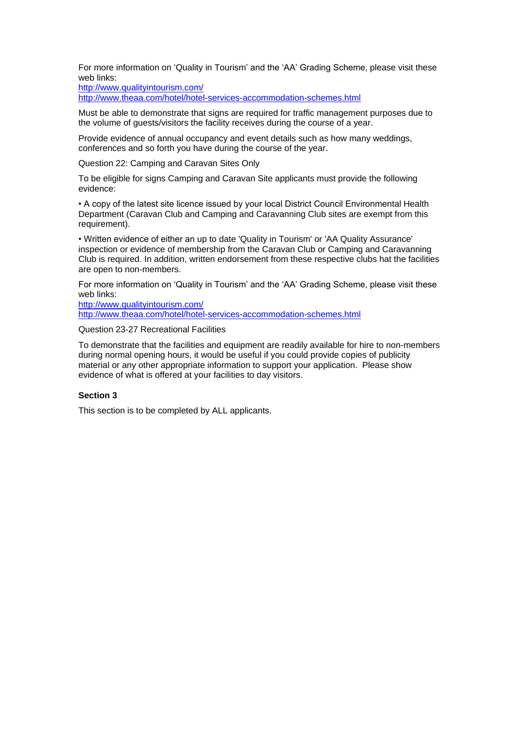For more information on 'Quality in Tourism' and the 'AA' Grading Scheme, please visit these web links:

<http://www.qualityintourism.com/>

<http://www.theaa.com/hotel/hotel-services-accommodation-schemes.html>

Must be able to demonstrate that signs are required for traffic management purposes due to the volume of guests/visitors the facility receives during the course of a year.

Provide evidence of annual occupancy and event details such as how many weddings, conferences and so forth you have during the course of the year.

Question 22: Camping and Caravan Sites Only

To be eligible for signs Camping and Caravan Site applicants must provide the following evidence:

• A copy of the latest site licence issued by your local District Council Environmental Health Department (Caravan Club and Camping and Caravanning Club sites are exempt from this requirement).

• Written evidence of either an up to date 'Quality in Tourism' or 'AA Quality Assurance' inspection or evidence of membership from the Caravan Club or Camping and Caravanning Club is required. In addition, written endorsement from these respective clubs hat the facilities are open to non-members.

For more information on 'Quality in Tourism' and the 'AA' Grading Scheme, please visit these web links:

<http://www.qualityintourism.com/> <http://www.theaa.com/hotel/hotel-services-accommodation-schemes.html>

#### Question 23-27 Recreational Facilities

To demonstrate that the facilities and equipment are readily available for hire to non-members during normal opening hours, it would be useful if you could provide copies of publicity material or any other appropriate information to support your application. Please show evidence of what is offered at your facilities to day visitors.

### <span id="page-17-0"></span>**Section 3**

This section is to be completed by ALL applicants.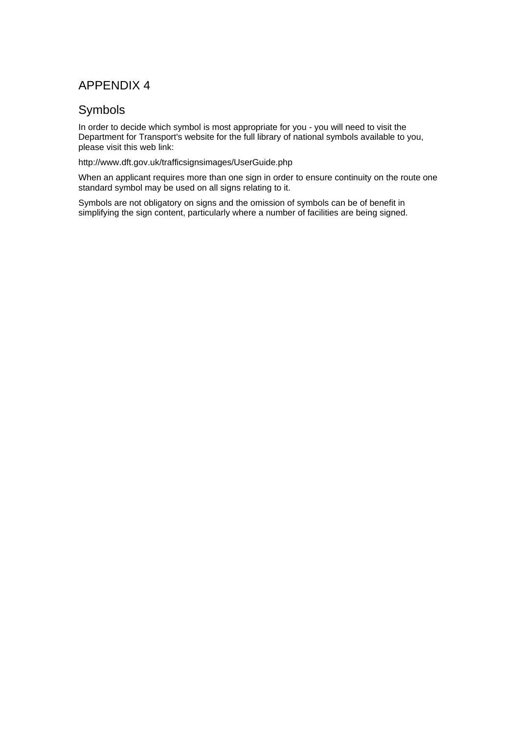## Symbols

In order to decide which symbol is most appropriate for you - you will need to visit the Department for Transport's website for the full library of national symbols available to you, please visit this web link:

http://www.dft.gov.uk/trafficsignsimages/UserGuide.php

When an applicant requires more than one sign in order to ensure continuity on the route one standard symbol may be used on all signs relating to it.

Symbols are not obligatory on signs and the omission of symbols can be of benefit in simplifying the sign content, particularly where a number of facilities are being signed.